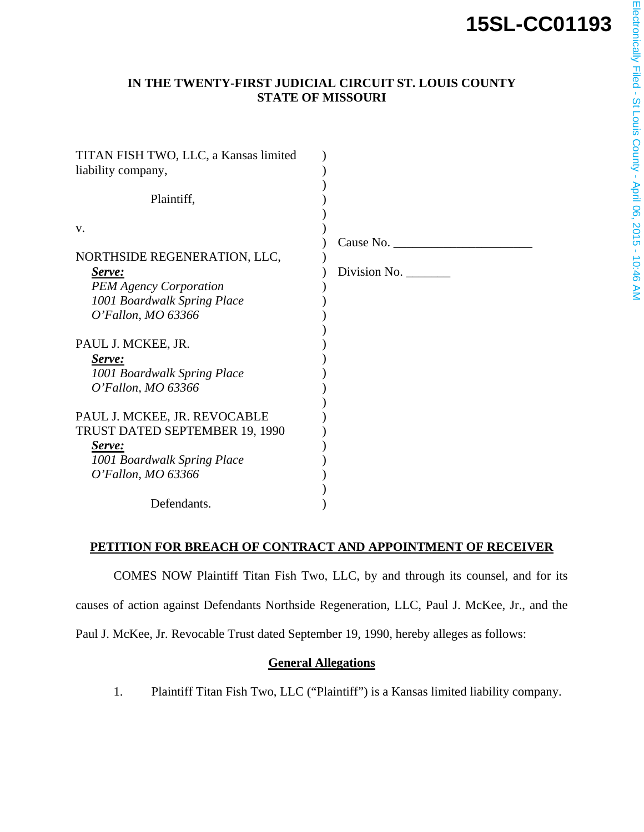# **15SL-CC01193**

# **IN THE TWENTY-FIRST JUDICIAL CIRCUIT ST. LOUIS COUNTY STATE OF MISSOURI**

| TITAN FISH TWO, LLC, a Kansas limited |              |
|---------------------------------------|--------------|
| liability company,                    |              |
|                                       |              |
| Plaintiff,                            |              |
|                                       |              |
| V.                                    |              |
|                                       | Cause No.    |
| NORTHSIDE REGENERATION, LLC,          |              |
| <u>Serve:</u>                         | Division No. |
| <b>PEM Agency Corporation</b>         |              |
| 1001 Boardwalk Spring Place           |              |
| O'Fallon, MO 63366                    |              |
|                                       |              |
| PAUL J. MCKEE, JR.                    |              |
| Serve:                                |              |
| 1001 Boardwalk Spring Place           |              |
| O'Fallon, MO 63366                    |              |
|                                       |              |
| PAUL J. MCKEE, JR. REVOCABLE          |              |
| TRUST DATED SEPTEMBER 19, 1990        |              |
| Serve:                                |              |
| 1001 Boardwalk Spring Place           |              |
| O'Fallon, MO 63366                    |              |
|                                       |              |
| Defendants.                           |              |

### **PETITION FOR BREACH OF CONTRACT AND APPOINTMENT OF RECEIVER**

COMES NOW Plaintiff Titan Fish Two, LLC, by and through its counsel, and for its causes of action against Defendants Northside Regeneration, LLC, Paul J. McKee, Jr., and the Paul J. McKee, Jr. Revocable Trust dated September 19, 1990, hereby alleges as follows:

#### **General Allegations**

1. Plaintiff Titan Fish Two, LLC ("Plaintiff") is a Kansas limited liability company.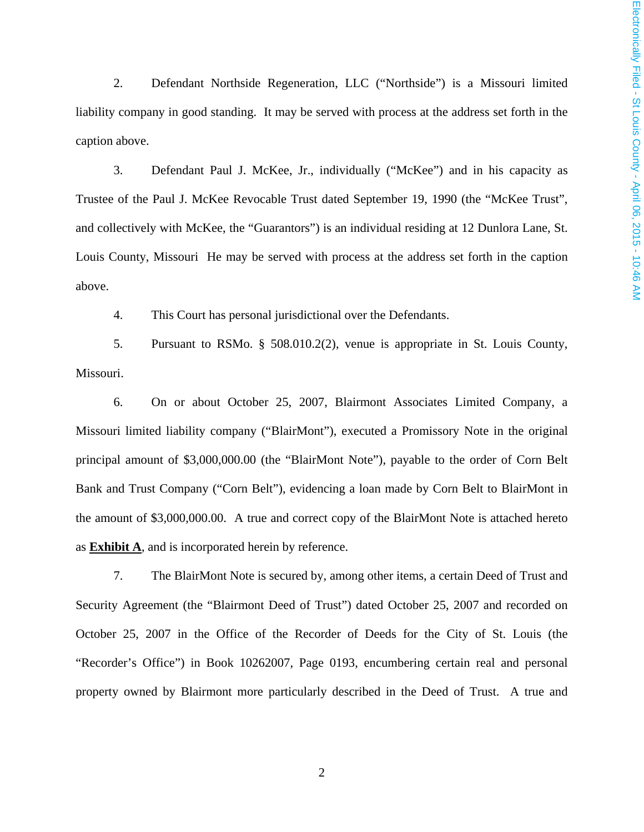2. Defendant Northside Regeneration, LLC ("Northside") is a Missouri limited liability company in good standing. It may be served with process at the address set forth in the caption above.

3. Defendant Paul J. McKee, Jr., individually ("McKee") and in his capacity as Trustee of the Paul J. McKee Revocable Trust dated September 19, 1990 (the "McKee Trust", and collectively with McKee, the "Guarantors") is an individual residing at 12 Dunlora Lane, St. Louis County, Missouri He may be served with process at the address set forth in the caption above.

4. This Court has personal jurisdictional over the Defendants.

5. Pursuant to RSMo. § 508.010.2(2), venue is appropriate in St. Louis County, Missouri.

6. On or about October 25, 2007, Blairmont Associates Limited Company, a Missouri limited liability company ("BlairMont"), executed a Promissory Note in the original principal amount of \$3,000,000.00 (the "BlairMont Note"), payable to the order of Corn Belt Bank and Trust Company ("Corn Belt"), evidencing a loan made by Corn Belt to BlairMont in the amount of \$3,000,000.00. A true and correct copy of the BlairMont Note is attached hereto as **Exhibit A**, and is incorporated herein by reference.

7. The BlairMont Note is secured by, among other items, a certain Deed of Trust and Security Agreement (the "Blairmont Deed of Trust") dated October 25, 2007 and recorded on October 25, 2007 in the Office of the Recorder of Deeds for the City of St. Louis (the "Recorder's Office") in Book 10262007, Page 0193, encumbering certain real and personal property owned by Blairmont more particularly described in the Deed of Trust. A true and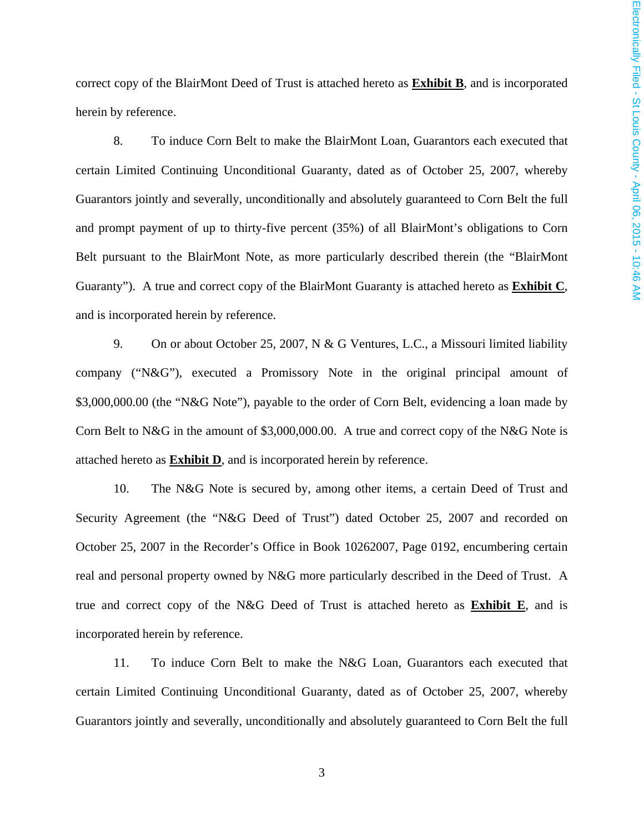correct copy of the BlairMont Deed of Trust is attached hereto as **Exhibit B**, and is incorporated herein by reference.

8. To induce Corn Belt to make the BlairMont Loan, Guarantors each executed that certain Limited Continuing Unconditional Guaranty, dated as of October 25, 2007, whereby Guarantors jointly and severally, unconditionally and absolutely guaranteed to Corn Belt the full and prompt payment of up to thirty-five percent (35%) of all BlairMont's obligations to Corn Belt pursuant to the BlairMont Note, as more particularly described therein (the "BlairMont Guaranty"). A true and correct copy of the BlairMont Guaranty is attached hereto as **Exhibit C**, and is incorporated herein by reference.

9. On or about October 25, 2007, N & G Ventures, L.C., a Missouri limited liability company ("N&G"), executed a Promissory Note in the original principal amount of \$3,000,000.00 (the "N&G Note"), payable to the order of Corn Belt, evidencing a loan made by Corn Belt to N&G in the amount of \$3,000,000.00. A true and correct copy of the N&G Note is attached hereto as **Exhibit D**, and is incorporated herein by reference.

10. The N&G Note is secured by, among other items, a certain Deed of Trust and Security Agreement (the "N&G Deed of Trust") dated October 25, 2007 and recorded on October 25, 2007 in the Recorder's Office in Book 10262007, Page 0192, encumbering certain real and personal property owned by N&G more particularly described in the Deed of Trust. A true and correct copy of the N&G Deed of Trust is attached hereto as **Exhibit E**, and is incorporated herein by reference.

11. To induce Corn Belt to make the N&G Loan, Guarantors each executed that certain Limited Continuing Unconditional Guaranty, dated as of October 25, 2007, whereby Guarantors jointly and severally, unconditionally and absolutely guaranteed to Corn Belt the full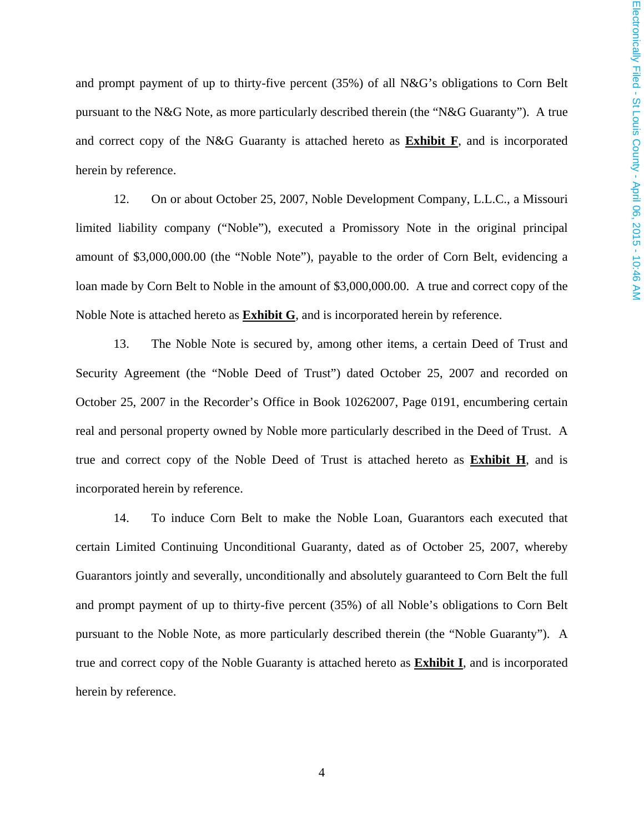and prompt payment of up to thirty-five percent (35%) of all N&G's obligations to Corn Belt pursuant to the N&G Note, as more particularly described therein (the "N&G Guaranty"). A true and correct copy of the N&G Guaranty is attached hereto as **Exhibit F**, and is incorporated herein by reference.

12. On or about October 25, 2007, Noble Development Company, L.L.C., a Missouri limited liability company ("Noble"), executed a Promissory Note in the original principal amount of \$3,000,000.00 (the "Noble Note"), payable to the order of Corn Belt, evidencing a loan made by Corn Belt to Noble in the amount of \$3,000,000.00. A true and correct copy of the Noble Note is attached hereto as **Exhibit G**, and is incorporated herein by reference.

13. The Noble Note is secured by, among other items, a certain Deed of Trust and Security Agreement (the "Noble Deed of Trust") dated October 25, 2007 and recorded on October 25, 2007 in the Recorder's Office in Book 10262007, Page 0191, encumbering certain real and personal property owned by Noble more particularly described in the Deed of Trust. A true and correct copy of the Noble Deed of Trust is attached hereto as **Exhibit H**, and is incorporated herein by reference.

14. To induce Corn Belt to make the Noble Loan, Guarantors each executed that certain Limited Continuing Unconditional Guaranty, dated as of October 25, 2007, whereby Guarantors jointly and severally, unconditionally and absolutely guaranteed to Corn Belt the full and prompt payment of up to thirty-five percent (35%) of all Noble's obligations to Corn Belt pursuant to the Noble Note, as more particularly described therein (the "Noble Guaranty"). A true and correct copy of the Noble Guaranty is attached hereto as **Exhibit I**, and is incorporated herein by reference.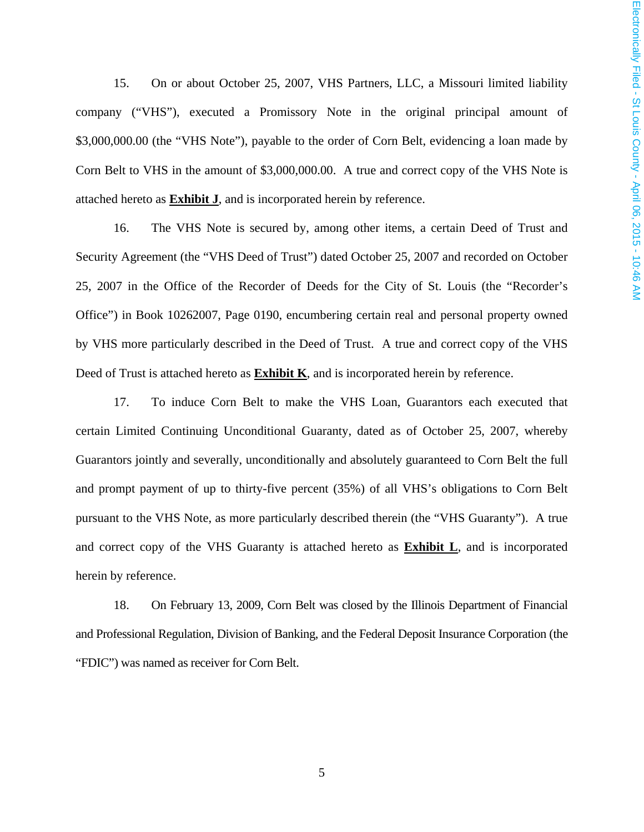15. On or about October 25, 2007, VHS Partners, LLC, a Missouri limited liability company ("VHS"), executed a Promissory Note in the original principal amount of \$3,000,000.00 (the "VHS Note"), payable to the order of Corn Belt, evidencing a loan made by Corn Belt to VHS in the amount of \$3,000,000.00. A true and correct copy of the VHS Note is attached hereto as **Exhibit J**, and is incorporated herein by reference.

16. The VHS Note is secured by, among other items, a certain Deed of Trust and Security Agreement (the "VHS Deed of Trust") dated October 25, 2007 and recorded on October 25, 2007 in the Office of the Recorder of Deeds for the City of St. Louis (the "Recorder's Office") in Book 10262007, Page 0190, encumbering certain real and personal property owned by VHS more particularly described in the Deed of Trust. A true and correct copy of the VHS Deed of Trust is attached hereto as **Exhibit K**, and is incorporated herein by reference.

17. To induce Corn Belt to make the VHS Loan, Guarantors each executed that certain Limited Continuing Unconditional Guaranty, dated as of October 25, 2007, whereby Guarantors jointly and severally, unconditionally and absolutely guaranteed to Corn Belt the full and prompt payment of up to thirty-five percent (35%) of all VHS's obligations to Corn Belt pursuant to the VHS Note, as more particularly described therein (the "VHS Guaranty"). A true and correct copy of the VHS Guaranty is attached hereto as **Exhibit L**, and is incorporated herein by reference.

18. On February 13, 2009, Corn Belt was closed by the Illinois Department of Financial and Professional Regulation, Division of Banking, and the Federal Deposit Insurance Corporation (the "FDIC") was named as receiver for Corn Belt.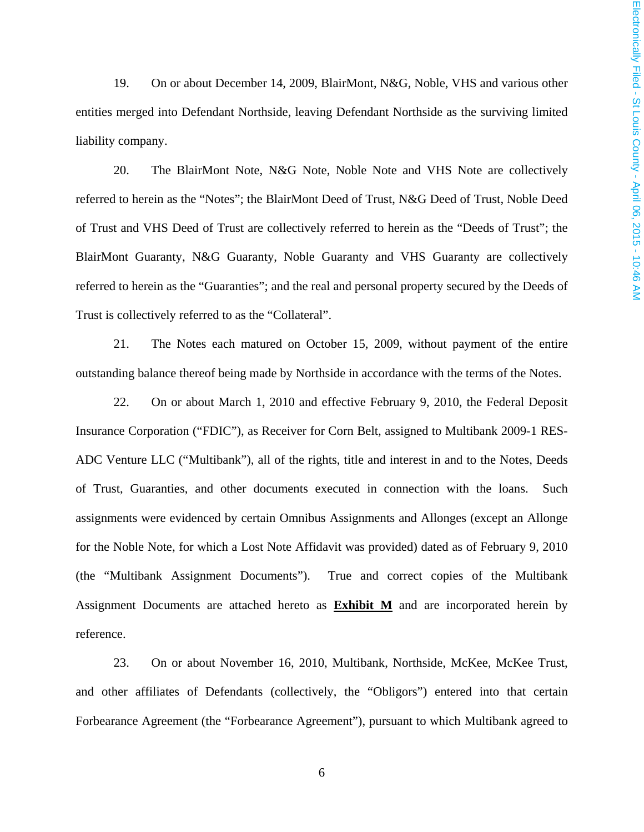19. On or about December 14, 2009, BlairMont, N&G, Noble, VHS and various other entities merged into Defendant Northside, leaving Defendant Northside as the surviving limited liability company.

20. The BlairMont Note, N&G Note, Noble Note and VHS Note are collectively referred to herein as the "Notes"; the BlairMont Deed of Trust, N&G Deed of Trust, Noble Deed of Trust and VHS Deed of Trust are collectively referred to herein as the "Deeds of Trust"; the BlairMont Guaranty, N&G Guaranty, Noble Guaranty and VHS Guaranty are collectively referred to herein as the "Guaranties"; and the real and personal property secured by the Deeds of Trust is collectively referred to as the "Collateral".

21. The Notes each matured on October 15, 2009, without payment of the entire outstanding balance thereof being made by Northside in accordance with the terms of the Notes.

22. On or about March 1, 2010 and effective February 9, 2010, the Federal Deposit Insurance Corporation ("FDIC"), as Receiver for Corn Belt, assigned to Multibank 2009-1 RES-ADC Venture LLC ("Multibank"), all of the rights, title and interest in and to the Notes, Deeds of Trust, Guaranties, and other documents executed in connection with the loans. Such assignments were evidenced by certain Omnibus Assignments and Allonges (except an Allonge for the Noble Note, for which a Lost Note Affidavit was provided) dated as of February 9, 2010 (the "Multibank Assignment Documents"). True and correct copies of the Multibank Assignment Documents are attached hereto as **Exhibit M** and are incorporated herein by reference.

23. On or about November 16, 2010, Multibank, Northside, McKee, McKee Trust, and other affiliates of Defendants (collectively, the "Obligors") entered into that certain Forbearance Agreement (the "Forbearance Agreement"), pursuant to which Multibank agreed to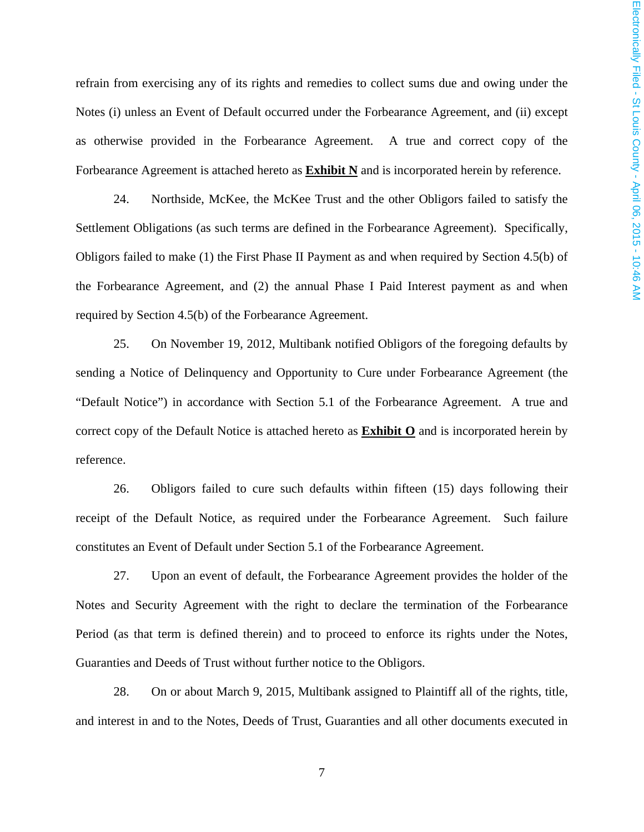refrain from exercising any of its rights and remedies to collect sums due and owing under the Notes (i) unless an Event of Default occurred under the Forbearance Agreement, and (ii) except as otherwise provided in the Forbearance Agreement. A true and correct copy of the Forbearance Agreement is attached hereto as **Exhibit N** and is incorporated herein by reference.

24. Northside, McKee, the McKee Trust and the other Obligors failed to satisfy the Settlement Obligations (as such terms are defined in the Forbearance Agreement). Specifically, Obligors failed to make (1) the First Phase II Payment as and when required by Section 4.5(b) of the Forbearance Agreement, and (2) the annual Phase I Paid Interest payment as and when required by Section 4.5(b) of the Forbearance Agreement.

25. On November 19, 2012, Multibank notified Obligors of the foregoing defaults by sending a Notice of Delinquency and Opportunity to Cure under Forbearance Agreement (the "Default Notice") in accordance with Section 5.1 of the Forbearance Agreement. A true and correct copy of the Default Notice is attached hereto as **Exhibit O** and is incorporated herein by reference.

26. Obligors failed to cure such defaults within fifteen (15) days following their receipt of the Default Notice, as required under the Forbearance Agreement. Such failure constitutes an Event of Default under Section 5.1 of the Forbearance Agreement.

27. Upon an event of default, the Forbearance Agreement provides the holder of the Notes and Security Agreement with the right to declare the termination of the Forbearance Period (as that term is defined therein) and to proceed to enforce its rights under the Notes, Guaranties and Deeds of Trust without further notice to the Obligors.

28. On or about March 9, 2015, Multibank assigned to Plaintiff all of the rights, title, and interest in and to the Notes, Deeds of Trust, Guaranties and all other documents executed in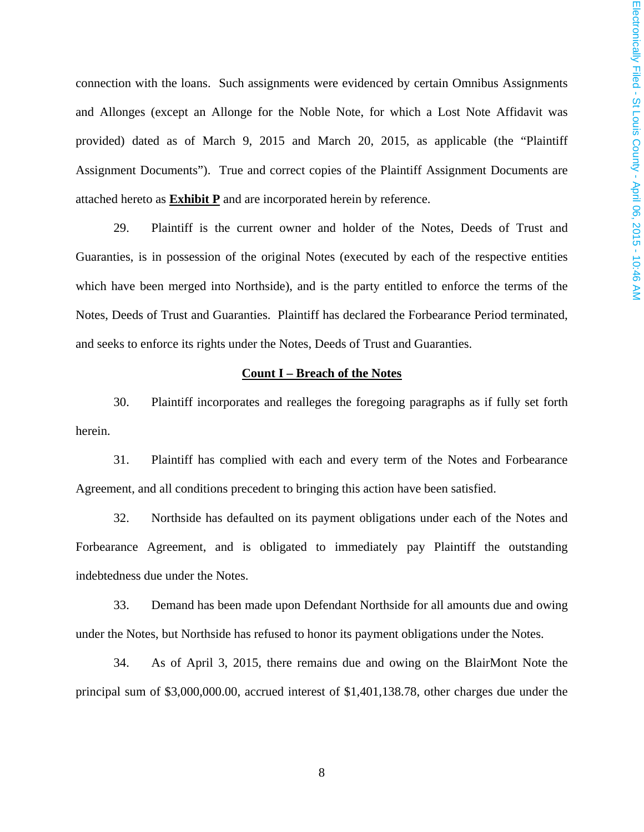connection with the loans. Such assignments were evidenced by certain Omnibus Assignments and Allonges (except an Allonge for the Noble Note, for which a Lost Note Affidavit was provided) dated as of March 9, 2015 and March 20, 2015, as applicable (the "Plaintiff Assignment Documents"). True and correct copies of the Plaintiff Assignment Documents are attached hereto as **Exhibit P** and are incorporated herein by reference.

29. Plaintiff is the current owner and holder of the Notes, Deeds of Trust and Guaranties, is in possession of the original Notes (executed by each of the respective entities which have been merged into Northside), and is the party entitled to enforce the terms of the Notes, Deeds of Trust and Guaranties. Plaintiff has declared the Forbearance Period terminated, and seeks to enforce its rights under the Notes, Deeds of Trust and Guaranties.

#### **Count I – Breach of the Notes**

30. Plaintiff incorporates and realleges the foregoing paragraphs as if fully set forth herein.

31. Plaintiff has complied with each and every term of the Notes and Forbearance Agreement, and all conditions precedent to bringing this action have been satisfied.

32. Northside has defaulted on its payment obligations under each of the Notes and Forbearance Agreement, and is obligated to immediately pay Plaintiff the outstanding indebtedness due under the Notes.

33. Demand has been made upon Defendant Northside for all amounts due and owing under the Notes, but Northside has refused to honor its payment obligations under the Notes.

34. As of April 3, 2015, there remains due and owing on the BlairMont Note the principal sum of \$3,000,000.00, accrued interest of \$1,401,138.78, other charges due under the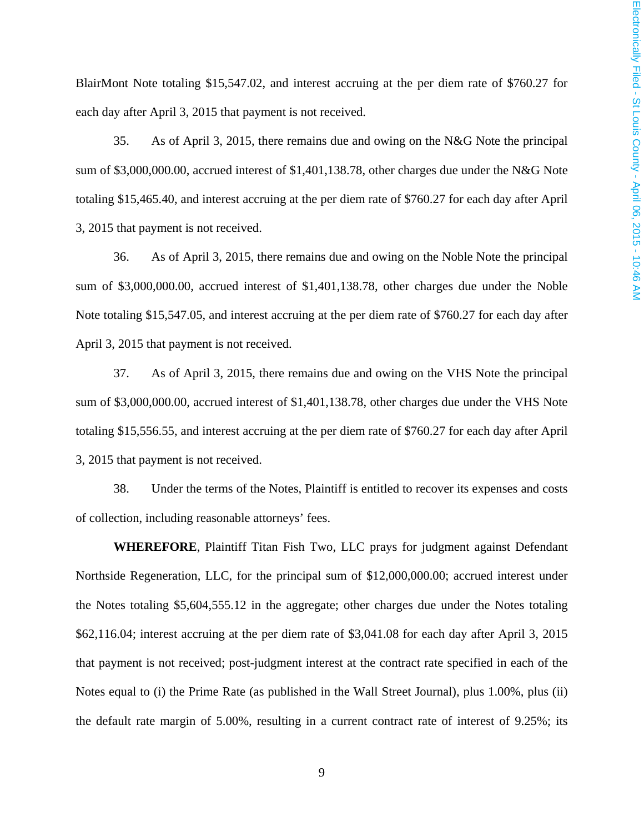BlairMont Note totaling \$15,547.02, and interest accruing at the per diem rate of \$760.27 for each day after April 3, 2015 that payment is not received.

35. As of April 3, 2015, there remains due and owing on the N&G Note the principal sum of \$3,000,000.00, accrued interest of \$1,401,138.78, other charges due under the N&G Note totaling \$15,465.40, and interest accruing at the per diem rate of \$760.27 for each day after April 3, 2015 that payment is not received.

36. As of April 3, 2015, there remains due and owing on the Noble Note the principal sum of \$3,000,000.00, accrued interest of \$1,401,138.78, other charges due under the Noble Note totaling \$15,547.05, and interest accruing at the per diem rate of \$760.27 for each day after April 3, 2015 that payment is not received.

37. As of April 3, 2015, there remains due and owing on the VHS Note the principal sum of \$3,000,000.00, accrued interest of \$1,401,138.78, other charges due under the VHS Note totaling \$15,556.55, and interest accruing at the per diem rate of \$760.27 for each day after April 3, 2015 that payment is not received.

38. Under the terms of the Notes, Plaintiff is entitled to recover its expenses and costs of collection, including reasonable attorneys' fees.

**WHEREFORE**, Plaintiff Titan Fish Two, LLC prays for judgment against Defendant Northside Regeneration, LLC, for the principal sum of \$12,000,000.00; accrued interest under the Notes totaling \$5,604,555.12 in the aggregate; other charges due under the Notes totaling \$62,116.04; interest accruing at the per diem rate of \$3,041.08 for each day after April 3, 2015 that payment is not received; post-judgment interest at the contract rate specified in each of the Notes equal to (i) the Prime Rate (as published in the Wall Street Journal), plus 1.00%, plus (ii) the default rate margin of 5.00%, resulting in a current contract rate of interest of 9.25%; its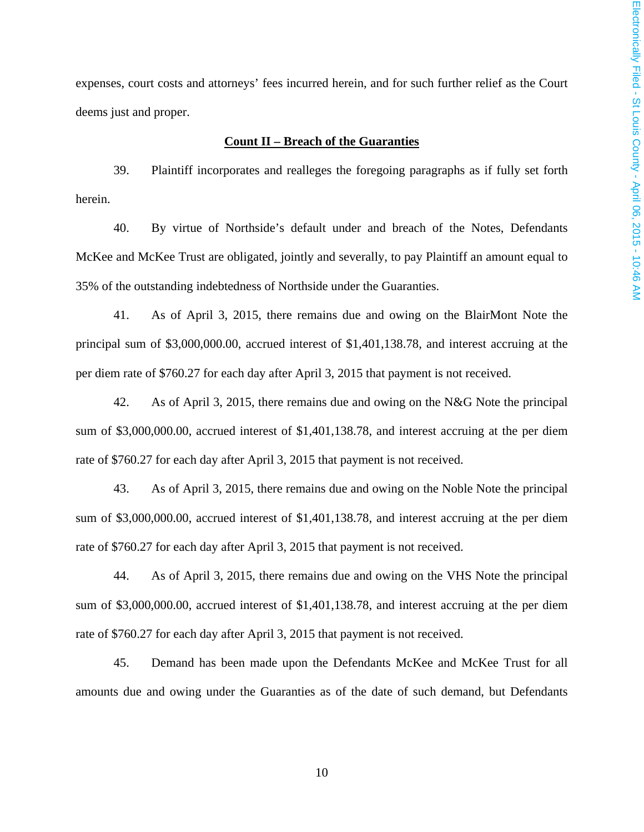expenses, court costs and attorneys' fees incurred herein, and for such further relief as the Court deems just and proper.

#### **Count II – Breach of the Guaranties**

39. Plaintiff incorporates and realleges the foregoing paragraphs as if fully set forth herein.

40. By virtue of Northside's default under and breach of the Notes, Defendants McKee and McKee Trust are obligated, jointly and severally, to pay Plaintiff an amount equal to 35% of the outstanding indebtedness of Northside under the Guaranties.

41. As of April 3, 2015, there remains due and owing on the BlairMont Note the principal sum of \$3,000,000.00, accrued interest of \$1,401,138.78, and interest accruing at the per diem rate of \$760.27 for each day after April 3, 2015 that payment is not received.

42. As of April 3, 2015, there remains due and owing on the N&G Note the principal sum of \$3,000,000.00, accrued interest of \$1,401,138.78, and interest accruing at the per diem rate of \$760.27 for each day after April 3, 2015 that payment is not received.

43. As of April 3, 2015, there remains due and owing on the Noble Note the principal sum of \$3,000,000.00, accrued interest of \$1,401,138.78, and interest accruing at the per diem rate of \$760.27 for each day after April 3, 2015 that payment is not received.

44. As of April 3, 2015, there remains due and owing on the VHS Note the principal sum of \$3,000,000.00, accrued interest of \$1,401,138.78, and interest accruing at the per diem rate of \$760.27 for each day after April 3, 2015 that payment is not received.

45. Demand has been made upon the Defendants McKee and McKee Trust for all amounts due and owing under the Guaranties as of the date of such demand, but Defendants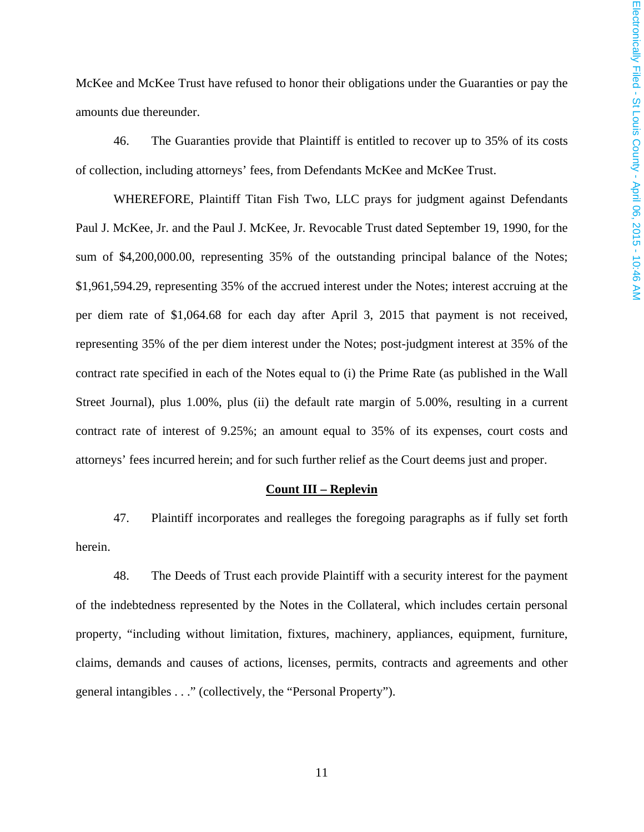McKee and McKee Trust have refused to honor their obligations under the Guaranties or pay the amounts due thereunder.

46. The Guaranties provide that Plaintiff is entitled to recover up to 35% of its costs of collection, including attorneys' fees, from Defendants McKee and McKee Trust.

WHEREFORE, Plaintiff Titan Fish Two, LLC prays for judgment against Defendants Paul J. McKee, Jr. and the Paul J. McKee, Jr. Revocable Trust dated September 19, 1990, for the sum of \$4,200,000.00, representing 35% of the outstanding principal balance of the Notes; \$1,961,594.29, representing 35% of the accrued interest under the Notes; interest accruing at the per diem rate of \$1,064.68 for each day after April 3, 2015 that payment is not received, representing 35% of the per diem interest under the Notes; post-judgment interest at 35% of the contract rate specified in each of the Notes equal to (i) the Prime Rate (as published in the Wall Street Journal), plus 1.00%, plus (ii) the default rate margin of 5.00%, resulting in a current contract rate of interest of 9.25%; an amount equal to 35% of its expenses, court costs and attorneys' fees incurred herein; and for such further relief as the Court deems just and proper.

#### **Count III – Replevin**

47. Plaintiff incorporates and realleges the foregoing paragraphs as if fully set forth herein.

48. The Deeds of Trust each provide Plaintiff with a security interest for the payment of the indebtedness represented by the Notes in the Collateral, which includes certain personal property, "including without limitation, fixtures, machinery, appliances, equipment, furniture, claims, demands and causes of actions, licenses, permits, contracts and agreements and other general intangibles . . ." (collectively, the "Personal Property").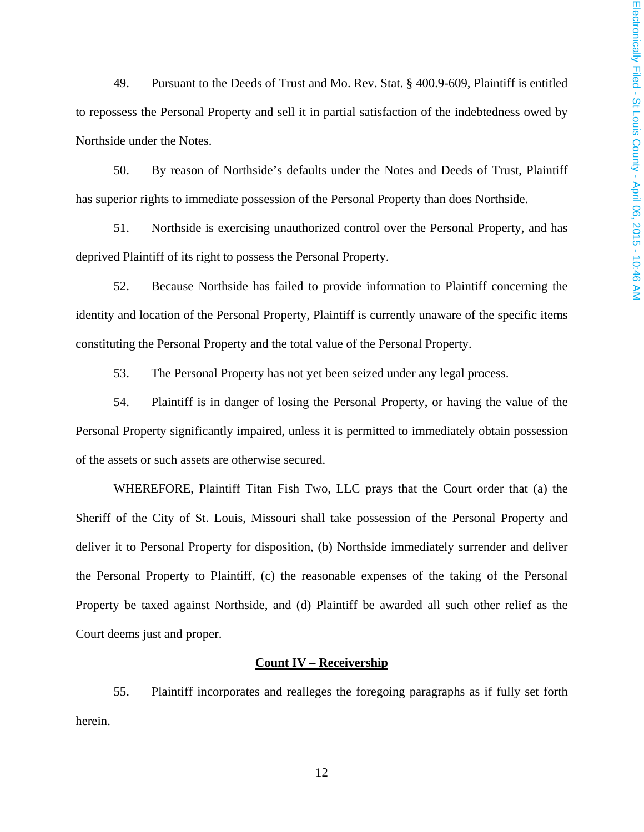49. Pursuant to the Deeds of Trust and Mo. Rev. Stat. § 400.9-609, Plaintiff is entitled to repossess the Personal Property and sell it in partial satisfaction of the indebtedness owed by Northside under the Notes.

50. By reason of Northside's defaults under the Notes and Deeds of Trust, Plaintiff has superior rights to immediate possession of the Personal Property than does Northside.

51. Northside is exercising unauthorized control over the Personal Property, and has deprived Plaintiff of its right to possess the Personal Property.

52. Because Northside has failed to provide information to Plaintiff concerning the identity and location of the Personal Property, Plaintiff is currently unaware of the specific items constituting the Personal Property and the total value of the Personal Property.

53. The Personal Property has not yet been seized under any legal process.

54. Plaintiff is in danger of losing the Personal Property, or having the value of the Personal Property significantly impaired, unless it is permitted to immediately obtain possession of the assets or such assets are otherwise secured.

WHEREFORE, Plaintiff Titan Fish Two, LLC prays that the Court order that (a) the Sheriff of the City of St. Louis, Missouri shall take possession of the Personal Property and deliver it to Personal Property for disposition, (b) Northside immediately surrender and deliver the Personal Property to Plaintiff, (c) the reasonable expenses of the taking of the Personal Property be taxed against Northside, and (d) Plaintiff be awarded all such other relief as the Court deems just and proper.

## **Count IV – Receivership**

55. Plaintiff incorporates and realleges the foregoing paragraphs as if fully set forth herein.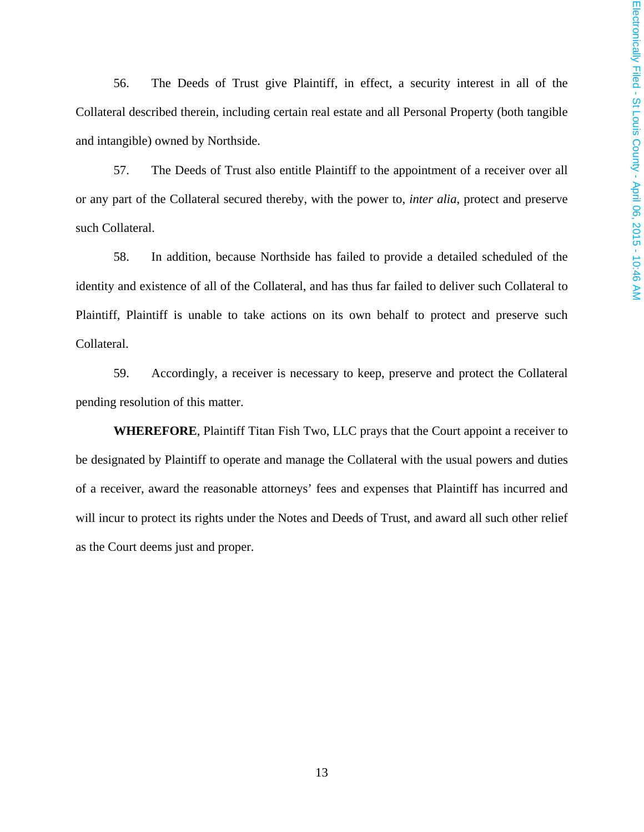56. The Deeds of Trust give Plaintiff, in effect, a security interest in all of the Collateral described therein, including certain real estate and all Personal Property (both tangible and intangible) owned by Northside.

57. The Deeds of Trust also entitle Plaintiff to the appointment of a receiver over all or any part of the Collateral secured thereby, with the power to, *inter alia*, protect and preserve such Collateral.

58. In addition, because Northside has failed to provide a detailed scheduled of the identity and existence of all of the Collateral, and has thus far failed to deliver such Collateral to Plaintiff, Plaintiff is unable to take actions on its own behalf to protect and preserve such Collateral.

59. Accordingly, a receiver is necessary to keep, preserve and protect the Collateral pending resolution of this matter.

**WHEREFORE**, Plaintiff Titan Fish Two, LLC prays that the Court appoint a receiver to be designated by Plaintiff to operate and manage the Collateral with the usual powers and duties of a receiver, award the reasonable attorneys' fees and expenses that Plaintiff has incurred and will incur to protect its rights under the Notes and Deeds of Trust, and award all such other relief as the Court deems just and proper.